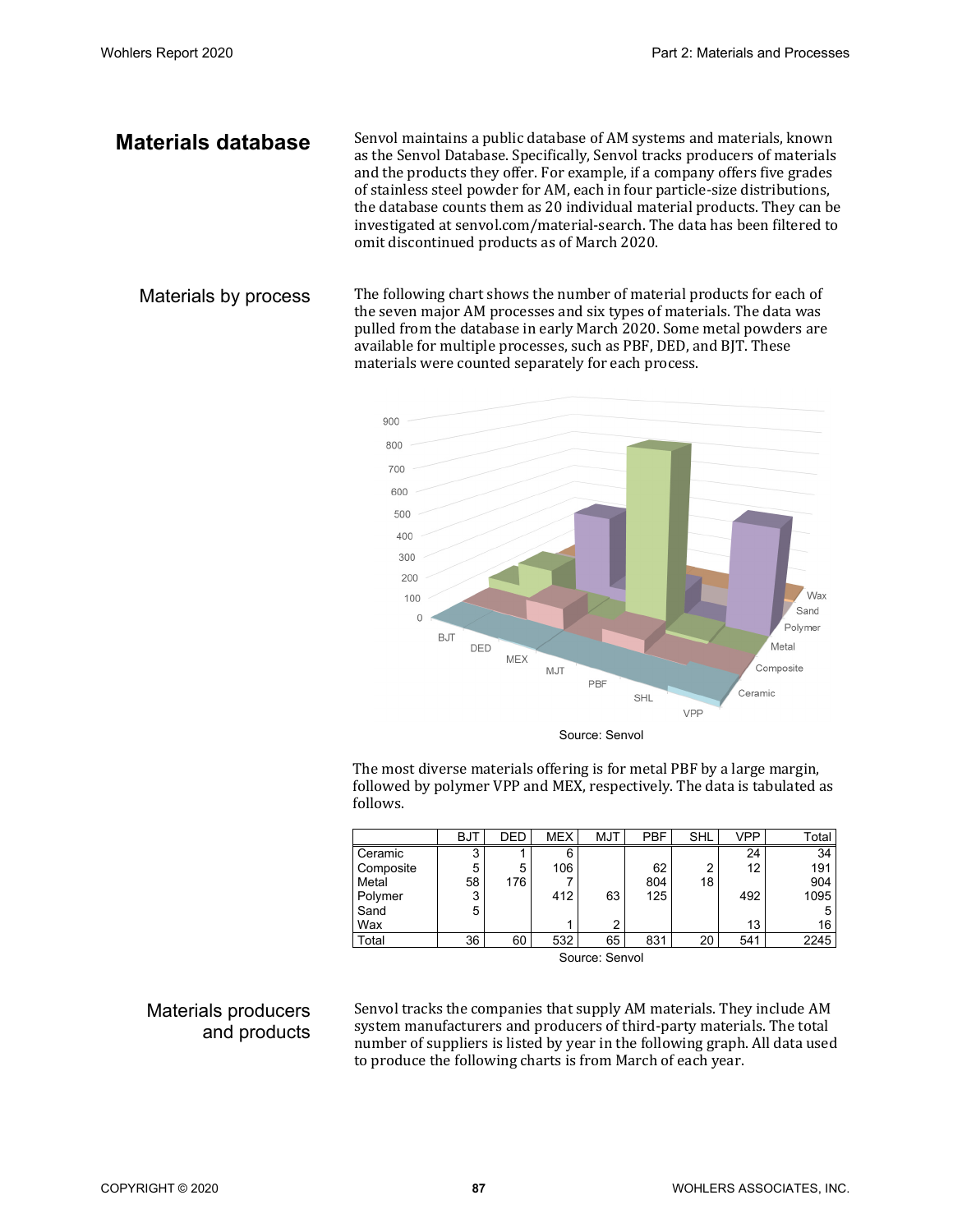**Materials database** Senvol maintains a public database of AM systems and materials, known as the Senvol Database. Specifically, Senvol tracks producers of materials and the products they offer. For example, if a company offers five grades of stainless steel powder for AM, each in four particle-size distributions, the database counts them as 20 individual material products. They can be investigated at senvol.com/material-search. The data has been filtered to omit discontinued products as of March 2020.

Materials by process The following chart shows the number of material products for each of the seven major AM processes and six types of materials. The data was pulled from the database in early March 2020. Some metal powders are available for multiple processes, such as PBF, DED, and BJT. These materials were counted separately for each process.



Source: Senvol

The most diverse materials offering is for metal PBF by a large margin, followed by polymer VPP and MEX, respectively. The data is tabulated as follows.

|                | <b>BJT</b> | DED | <b>MEX</b> | <b>MJT</b> | <b>PBF</b> | SHL | VPP | Total |
|----------------|------------|-----|------------|------------|------------|-----|-----|-------|
| Ceramic        | 3          |     | 6          |            |            |     | 24  | 34    |
| Composite      | 5          | 5   | 106        |            | 62         | າ   | 12  | 191   |
| Metal          | 58         | 176 |            |            | 804        | 18  |     | 904   |
| Polymer        | 3          |     | 412        | 63         | 125        |     | 492 | 1095  |
| Sand           | 5          |     |            |            |            |     |     |       |
| Wax            |            |     |            | ົ          |            |     | 13  | 16    |
| Total          | 36         | 60  | 532        | 65         | 831        | 20  | 541 | 2245  |
| Source: Senvol |            |     |            |            |            |     |     |       |

## Materials producers and products

Senvol tracks the companies that supply AM materials. They include AM system manufacturers and producers of third-party materials. The total number of suppliers is listed by year in the following graph. All data used to produce the following charts is from March of each year.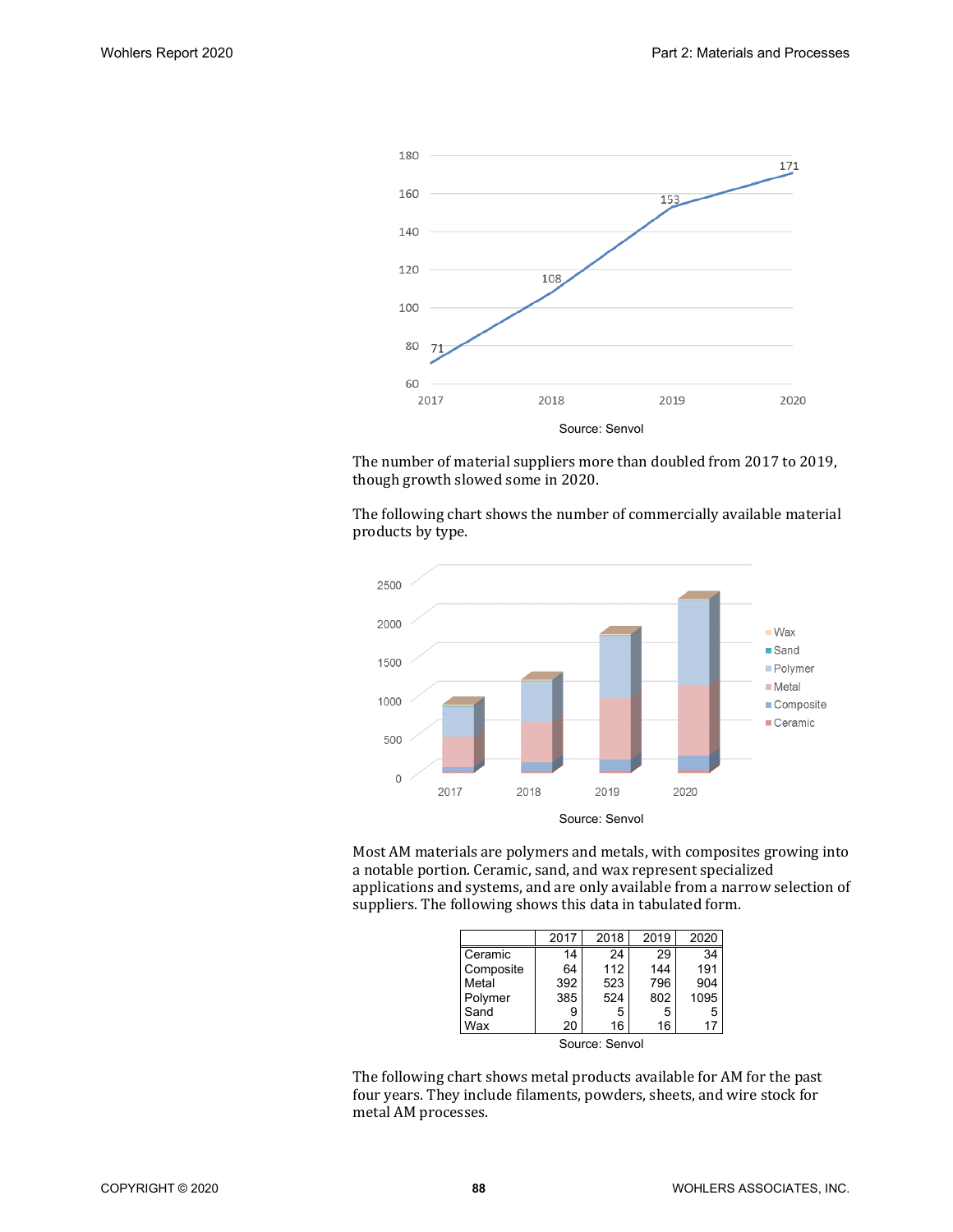

The number of material suppliers more than doubled from 2017 to 2019, though growth slowed some in 2020.

The following chart shows the number of commercially available material products by type.



Most AM materials are polymers and metals, with composites growing into a notable portion. Ceramic, sand, and wax represent specialized applications and systems, and are only available from a narrow selection of suppliers. The following shows this data in tabulated form.

|                | 2017 | 2018 | 2019 | 2020 |  |
|----------------|------|------|------|------|--|
| Ceramic        | 14   | 24   | 29   | 34   |  |
| Composite      | 64   | 112  | 144  | 191  |  |
| Metal          | 392  | 523  | 796  | 904  |  |
| Polymer        | 385  | 524  | 802  | 1095 |  |
| Sand           | 9    | 5    | 5    | 5    |  |
| Wax            | 20   | 16   | 16   | 17   |  |
| Source: Senvol |      |      |      |      |  |

The following chart shows metal products available for AM for the past four years. They include filaments, powders, sheets, and wire stock for metal AM processes.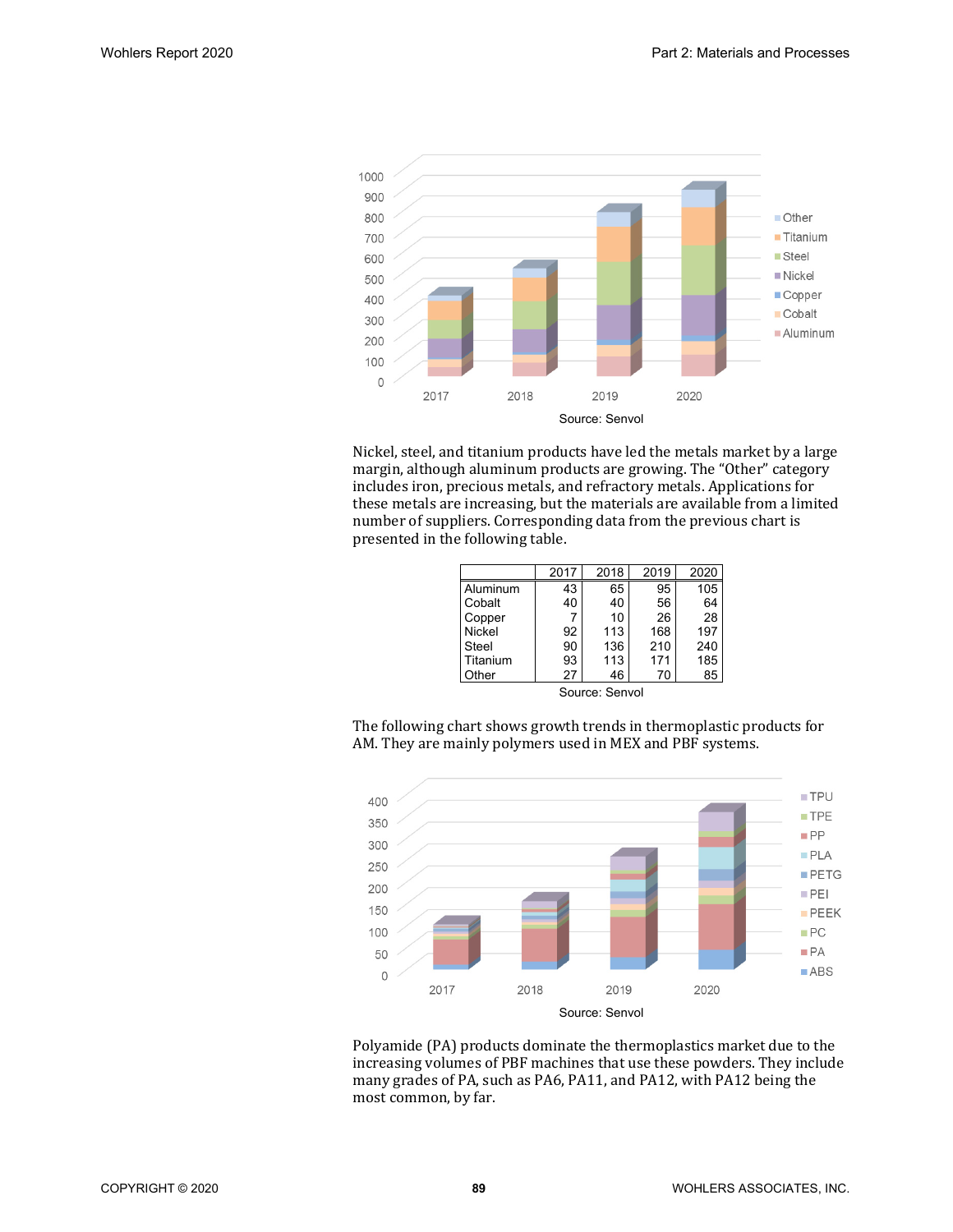

Nickel, steel, and titanium products have led the metals market by a large margin, although aluminum products are growing. The "Other" category includes iron, precious metals, and refractory metals. Applications for these metals are increasing, but the materials are available from a limited number of suppliers. Corresponding data from the previous chart is presented in the following table.

|               | 2017 | 2018 | 2019 | 2020 |
|---------------|------|------|------|------|
| Aluminum      | 43   | 65   | 95   | 105  |
| Cobalt        | 40   | 40   | 56   | 64   |
| Copper        |      | 10   | 26   | 28   |
| <b>Nickel</b> | 92   | 113  | 168  | 197  |
| Steel         | 90   | 136  | 210  | 240  |
| Titanium      | 93   | 113  | 171  | 185  |
| Other         | 27   | 46   | 70   | 85   |

Source: Senvol

The following chart shows growth trends in thermoplastic products for AM. They are mainly polymers used in MEX and PBF systems.



Polyamide (PA) products dominate the thermoplastics market due to the increasing volumes of PBF machines that use these powders. They include many grades of PA, such as PA6, PA11, and PA12, with PA12 being the most common, by far.